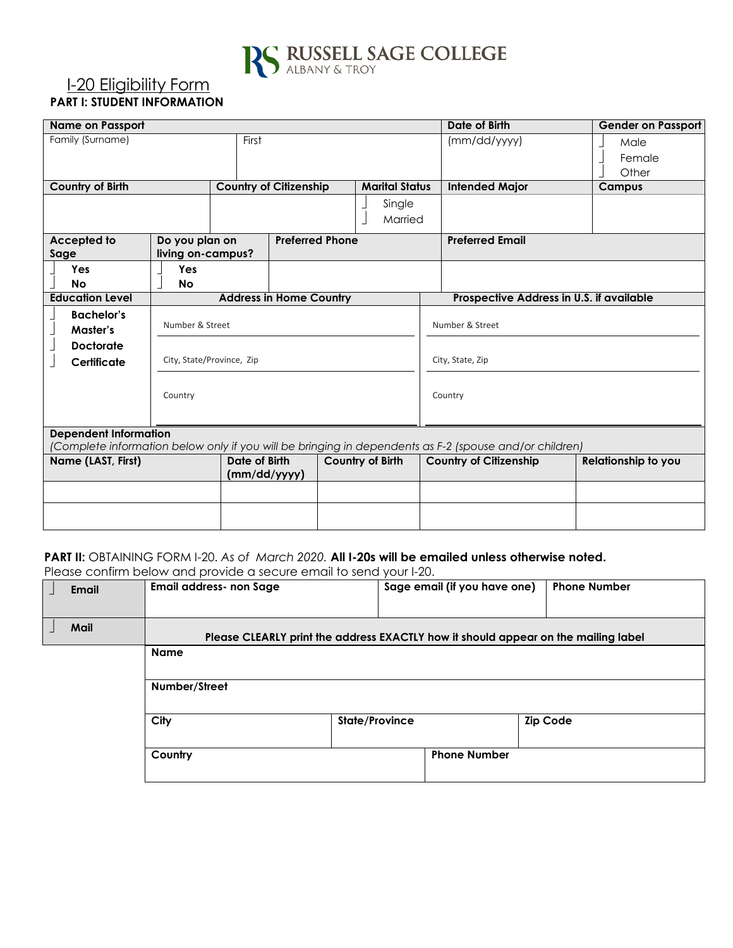

### I-20 Eligibility Form **PART I: STUDENT INFORMATION**

| <b>Name on Passport</b>                                                                                                                |                                              |                               |                               | Date of Birth    | <b>Gender on Passport</b> |         |                                          |                         |
|----------------------------------------------------------------------------------------------------------------------------------------|----------------------------------------------|-------------------------------|-------------------------------|------------------|---------------------------|---------|------------------------------------------|-------------------------|
| Family (Surname)                                                                                                                       |                                              | First                         |                               |                  |                           |         | (mm/dd/yyyy)                             | Male<br>Female<br>Other |
| Country of Birth                                                                                                                       |                                              |                               | <b>Country of Citizenship</b> |                  | <b>Marital Status</b>     |         | <b>Intended Major</b>                    | Campus                  |
|                                                                                                                                        |                                              |                               |                               |                  | Single<br>Married         |         |                                          |                         |
| Accepted to<br>Sage                                                                                                                    | Do you plan on<br>living on-campus?          |                               | <b>Preferred Phone</b>        |                  |                           |         | <b>Preferred Email</b>                   |                         |
| Yes<br><b>No</b>                                                                                                                       | Yes<br><b>No</b>                             |                               |                               |                  |                           |         |                                          |                         |
| <b>Education Level</b>                                                                                                                 | <b>Address in Home Country</b>               |                               |                               |                  |                           |         | Prospective Address in U.S. if available |                         |
| <b>Bachelor's</b><br>Master's                                                                                                          | Number & Street<br>City, State/Province, Zip |                               |                               |                  | Number & Street           |         |                                          |                         |
| <b>Doctorate</b><br>Certificate                                                                                                        |                                              |                               |                               | City, State, Zip |                           |         |                                          |                         |
|                                                                                                                                        | Country                                      |                               |                               |                  |                           | Country |                                          |                         |
| <b>Dependent Information</b><br>(Complete information below only if you will be bringing in dependents as F-2 (spouse and/or children) |                                              |                               |                               |                  |                           |         |                                          |                         |
| Name (LAST, First)                                                                                                                     |                                              | Date of Birth<br>(mm/dd/yyyy) |                               |                  | <b>Country of Birth</b>   |         | <b>Country of Citizenship</b>            | Relationship to you     |
|                                                                                                                                        |                                              |                               |                               |                  |                           |         |                                          |                         |
|                                                                                                                                        |                                              |                               |                               |                  |                           |         |                                          |                         |

# **PART II:** OBTAINING FORM I-20. *As of March 2020.* **All I-20s will be emailed unless otherwise noted.**

Please confirm below and provide a secure email to send your I-20.

| <b>Email</b> | <b>Email address- non Sage</b>                                                     |                | Sage email (if you have one) | <b>Phone Number</b> |
|--------------|------------------------------------------------------------------------------------|----------------|------------------------------|---------------------|
| Mail         | Please CLEARLY print the address EXACTLY how it should appear on the mailing label |                |                              |                     |
|              | <b>Name</b>                                                                        |                |                              |                     |
|              | Number/Street                                                                      |                |                              |                     |
|              | City                                                                               | State/Province |                              | <b>Zip Code</b>     |
|              | Country                                                                            |                | <b>Phone Number</b>          |                     |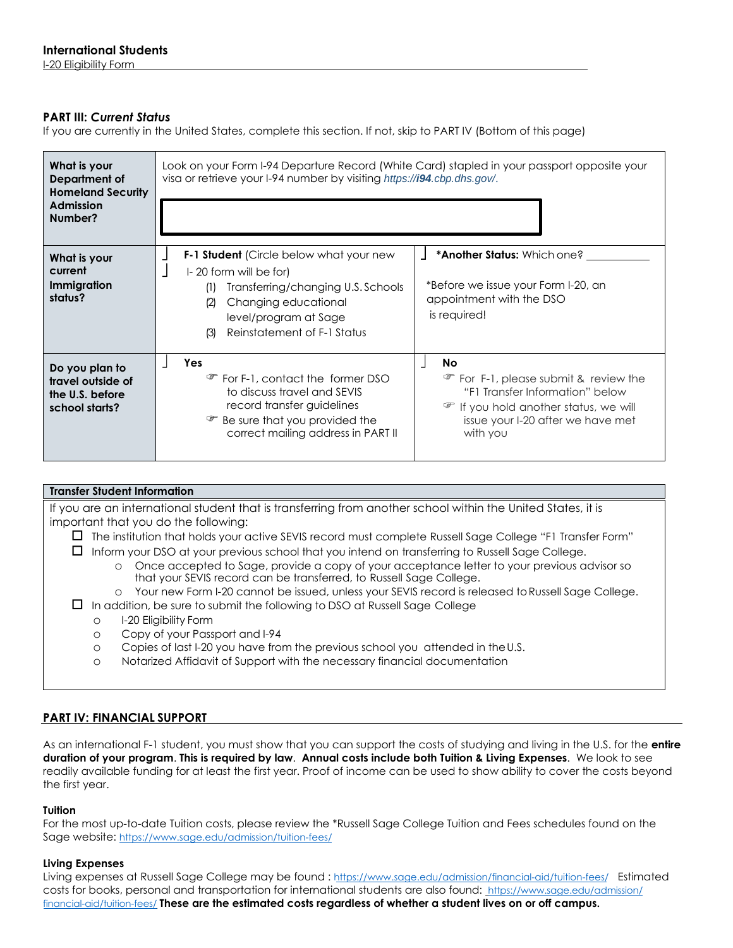#### **PART III:** *Current Status*

If you are currently in the United States, complete this section. If not, skip to PART IV (Bottom of this page)

| What is your<br>Department of<br><b>Homeland Security</b><br><b>Admission</b><br>Number? | Look on your Form I-94 Departure Record (White Card) stapled in your passport opposite your<br>visa or retrieve your I-94 number by visiting https://i94.cbp.dhs.gov/.                                                                                                                                                                                                      |  |  |  |  |
|------------------------------------------------------------------------------------------|-----------------------------------------------------------------------------------------------------------------------------------------------------------------------------------------------------------------------------------------------------------------------------------------------------------------------------------------------------------------------------|--|--|--|--|
| What is your<br>current<br>Immigration<br>status?                                        | <b>*Another Status:</b> Which one?<br><b>F-1 Student</b> (Circle below what your new<br>$\vert$ - 20 form will be for)<br>*Before we issue your Form I-20, an<br>Transferring/changing U.S. Schools<br>(1)<br>appointment with the DSO<br>Changing educational<br>(2)<br>is required!<br>level/program at Sage<br>Reinstatement of F-1 Status<br>(3)                        |  |  |  |  |
| Do you plan to<br>travel outside of<br>the U.S. before<br>school starts?                 | Yes<br>No<br>For F-1, contact the former DSO<br><b><i>F</i></b> For F-1, please submit & review the<br>"F1 Transfer Information" below<br>to discuss travel and SEVIS<br>record transfer guidelines<br><b>F</b> If you hold another status, we will<br>Be sure that you provided the<br>issue your I-20 after we have met<br>correct mailing address in PART II<br>with you |  |  |  |  |

#### **Transfer Student Information**

If you are an international student that is transferring from another school within the United States, it is important that you do the following:

The institution that holds your active SEVIS record must complete Russell Sage College "F1 Transfer Form"

 $\Box$  Inform your DSO at your previous school that you intend on transferring to Russell Sage College.

- o Once accepted to Sage, provide a copy of your acceptance letter to your previous advisor so that your SEVIS record can be transferred, to Russell Sage College.
- o Your new Form I-20 cannot be issued, unless your SEVIS record is released to Russell Sage College.
- $\Box$  In addition, be sure to submit the following to DSO at Russell Sage College
	- o I-20 Eligibility Form
	- o Copy of your Passport and I-94
	- o Copies of last I-20 you have from the previous school you attended in the U.S.
	- o Notarized Affidavit of Support with the necessary financial documentation

#### **PART IV: FINANCIAL SUPPORT**

As an international F-1 student, you must show that you can support the costs of studying and living in the U.S. for the **entire duration of your program**. **This is required by law**. **Annual costs include both Tuition & Living Expenses**. We look to see readily available funding for at least the first year. Proof of income can be used to show ability to cover the costs beyond the first year.

#### **Tuition**

For the most up-to-date Tuition costs, please review the \*Russell Sage College Tuition and Fees schedules found on the Sage website: [https://www.sage.edu/admission/t](https://www.sage.edu/admission/tuition-fees/)[uition-fees/](https://www.sage.edu/admission/financial-aid/tuition-fees/)

#### **Living Expenses**

Living expenses at Russell Sage College [may be found :](https://www.sage.edu/admission/financial-aid/tuition-fees/) <https://www.sage.edu/admission/financial-aid/tuition-fees/> Estimated costs for books, personal [and transportation for international students](https://www.sage.edu/admission/financial-aid/tuition-fees/) are also found: https://www.sage.edu/admission/ financial-aid/tuition-fees/ **These are the estimated costs regardless of whether a student lives on or off campus.**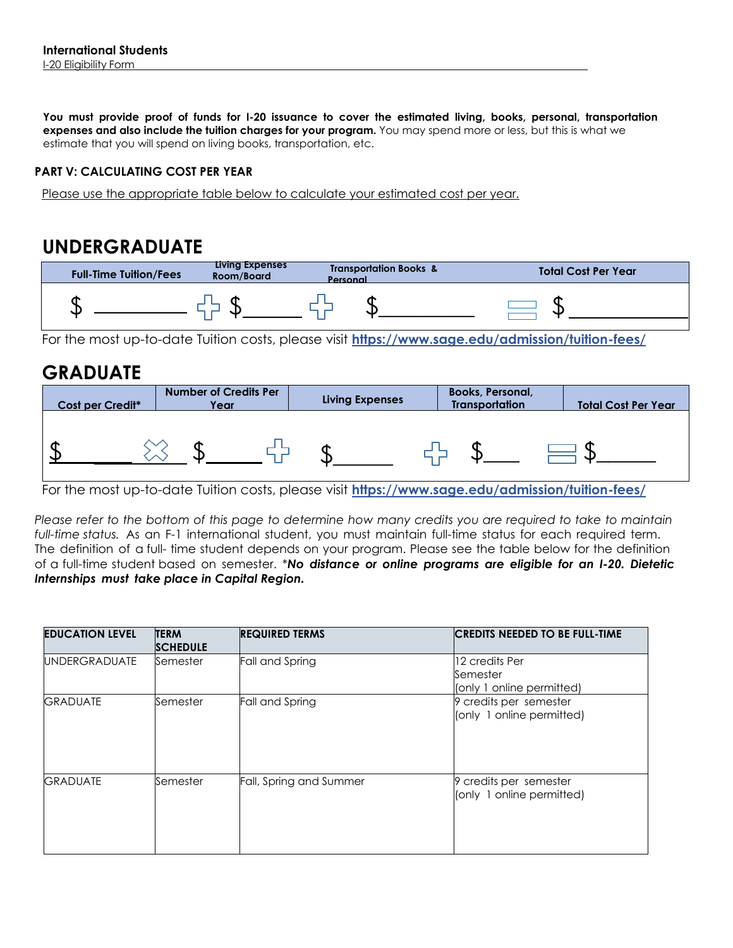**You must provide proof of funds for I-20 issuance to cover the estimated living, books, personal, transportation expenses and also include the tuition charges for your program.** You may spend more or less, but this is what we estimate that you will spend on living books, transportation, etc.

### **PART V: CALCULATING COST PER YEAR**

Please use the appropriate table below to calculate your estimated cost per year.

# **UNDERGRADUATE**

| <b>Full-Time Tuition/Fees</b> | Living Expenses<br>Room/Board | <b>Transportation Books &amp;</b><br>Personal | <b>Total Cost Per Year</b> |
|-------------------------------|-------------------------------|-----------------------------------------------|----------------------------|
| w.                            |                               |                                               |                            |

For the most up-to-date Tuition costs, please visit **https://www.sage.edu/admission/tuition-fees/**

# **GRADUATE**



For the most up-to-date Tuition costs, please visit **https://www.sage.edu/admission/tuition-fees/**

*Please refer to the bottom of this page to determine how many credits you are required to take to maintain full-time status.* As an F-1 international student, you must maintain full-time status for each required term. The definition of a full- time student depends on your program. Please see the table below for the definition of a full-time student based on semester. \**No distance or online programs are eligible for an I-20. Dietetic Internships must take place in Capital Region.* 

| <b>EDUCATION LEVEL</b> | <b>TERM</b><br><b>SCHEDULE</b> | <b>REQUIRED TERMS</b>   | <b>CREDITS NEEDED TO BE FULL-TIME</b>                   |
|------------------------|--------------------------------|-------------------------|---------------------------------------------------------|
| <b>UNDERGRADUATE</b>   | Semester                       | Fall and Spring         | 12 credits Per<br>Semester<br>(only 1 online permitted) |
| <b>GRADUATE</b>        | Semester                       | Fall and Spring         | 9 credits per semester<br>(only 1 online permitted)     |
| <b>GRADUATE</b>        | Semester                       | Fall, Spring and Summer | 9 credits per semester<br>(only 1 online permitted)     |